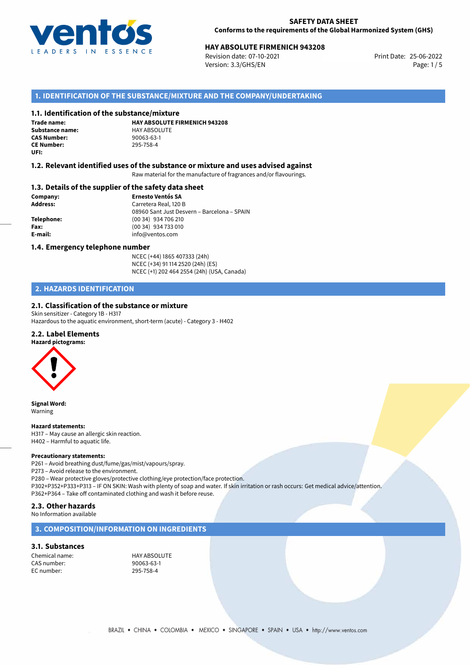

# **HAY ABSOLUTE FIRMENICH 943208**<br>
Revision date: 07-10-2021<br>
Print Date: 25-06-2022

Revision date: 07-10-2021 Version: 3.3/GHS/EN Page: 1/5

#### **1. IDENTIFICATION OF THE SUBSTANCE/MIXTURE AND THE COMPANY/UNDERTAKING**

#### **1.1. Identification of the substance/mixture**

**Trade name: Substance name:** HAY ABSOLUTE<br> **CAS Number:** 90063-63-1 **CAS Number: CE Number:** 295-758-4 **UFI:**

**HAY ABSOLUTE FIRMENICH 943208**

#### **1.2. Relevant identified uses of the substance or mixture and uses advised against**

Raw material for the manufacture of fragrances and/or flavourings.

#### **1.3. Details of the supplier of the safety data sheet**

**Company: Ernesto Ventós SA Address:** Carretera Real, 120 B 08960 Sant Just Desvern – Barcelona – SPAIN **Telephone:** (00 34) 934 706 210 **Fax:** (00 34) 934 733 010 **E-mail:** info@ventos.com

#### **1.4. Emergency telephone number**

NCEC (+44) 1865 407333 (24h) NCEC (+34) 91 114 2520 (24h) (ES) NCEC (+1) 202 464 2554 (24h) (USA, Canada)

#### **2. HAZARDS IDENTIFICATION**

#### **2.1. Classification of the substance or mixture**

Skin sensitizer - Category 1B - H317 Hazardous to the aquatic environment, short-term (acute) - Category 3 - H402

#### **2.2. Label Elements**



**Signal Word:** Warning

**Hazard statements:**

H317 – May cause an allergic skin reaction. H402 – Harmful to aquatic life.

#### **Precautionary statements:**

P261 – Avoid breathing dust/fume/gas/mist/vapours/spray. P273 – Avoid release to the environment. P280 – Wear protective gloves/protective clothing/eye protection/face protection. P302+P352+P333+P313 – IF ON SKIN: Wash with plenty of soap and water. If skin irritation or rash occurs: Get medical advice/attention. P362+P364 – Take off contaminated clothing and wash it before reuse.

#### **2.3. Other hazards**

No Information available

#### **3. COMPOSITION/INFORMATION ON INGREDIENTS**

#### **3.1. Substances**

Chemical name: HAY ABSOLUTE CAS number: 90063-63-1 EC number: 295-758-4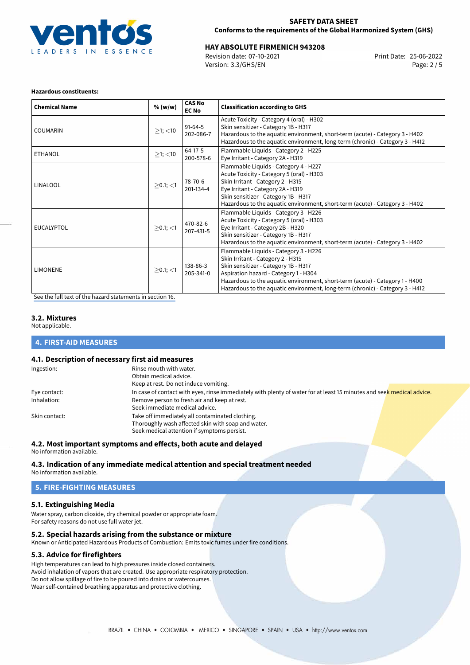

# **HAY ABSOLUTE FIRMENICH 943208**<br>
Revision date: 07-10-2021<br> **Print Date: 25-06-2022**

Revision date: 07-10-2021 Version: 3.3/GHS/EN Page: 2 / 5

#### **Hazardous constituents:**

| <b>Chemical Name</b> | % (w/w)        | <b>CAS No</b><br><b>EC No</b> | <b>Classification according to GHS</b>                                                                                                                                                                                                                                                                                       |
|----------------------|----------------|-------------------------------|------------------------------------------------------------------------------------------------------------------------------------------------------------------------------------------------------------------------------------------------------------------------------------------------------------------------------|
| <b>COUMARIN</b>      | $\geq$ 1; <10  | $91-64-5$<br>202-086-7        | Acute Toxicity - Category 4 (oral) - H302<br>Skin sensitizer - Category 1B - H317<br>Hazardous to the aquatic environment, short-term (acute) - Category 3 - H402<br>Hazardous to the aquatic environment, long-term (chronic) - Category 3 - H412                                                                           |
| <b>ETHANOL</b>       | $\geq$ 1; <10  | $64-17-5$<br>200-578-6        | Flammable Liquids - Category 2 - H225<br>Eye Irritant - Category 2A - H319                                                                                                                                                                                                                                                   |
| LINALOOL             | $>0.1$ ; <1    | 78-70-6<br>201-134-4          | Flammable Liquids - Category 4 - H227<br>Acute Toxicity - Category 5 (oral) - H303<br>Skin Irritant - Category 2 - H315<br>Eye Irritant - Category 2A - H319<br>Skin sensitizer - Category 1B - H317<br>Hazardous to the aquatic environment, short-term (acute) - Category 3 - H402                                         |
| <b>EUCALYPTOL</b>    | $>0.1$ ; $<$ 1 | 470-82-6<br>207-431-5         | Flammable Liquids - Category 3 - H226<br>Acute Toxicity - Category 5 (oral) - H303<br>Eye Irritant - Category 2B - H320<br>Skin sensitizer - Category 1B - H317<br>Hazardous to the aquatic environment, short-term (acute) - Category 3 - H402                                                                              |
| <b>LIMONENE</b>      | $>0.1$ ; <1    | 138-86-3<br>205-341-0         | Flammable Liquids - Category 3 - H226<br>Skin Irritant - Category 2 - H315<br>Skin sensitizer - Category 1B - H317<br>Aspiration hazard - Category 1 - H304<br>Hazardous to the aquatic environment, short-term (acute) - Category 1 - H400<br>Hazardous to the aquatic environment, long-term (chronic) - Category 3 - H412 |

[See the full text of the hazard statements in section 16.](#page-4-0)

#### **3.2. Mixtures**

Not applicable.

#### **4. FIRST-AID MEASURES**

#### **4.1. Description of necessary first aid measures**

| Ingestion:    | Rinse mouth with water.                                                                                               |
|---------------|-----------------------------------------------------------------------------------------------------------------------|
|               | Obtain medical advice.                                                                                                |
|               | Keep at rest. Do not induce vomiting.                                                                                 |
| Eye contact:  | In case of contact with eyes, rinse immediately with plenty of water for at least 15 minutes and seek medical advice. |
| Inhalation:   | Remove person to fresh air and keep at rest.                                                                          |
|               | Seek immediate medical advice.                                                                                        |
| Skin contact: | Take off immediately all contaminated clothing.                                                                       |
|               | Thoroughly wash affected skin with soap and water.                                                                    |
|               | Seek medical attention if symptoms persist.                                                                           |

#### **4.2. Most important symptoms and effects, both acute and delayed**

No information available.

# **4.3. Indication of any immediate medical attention and special treatment needed**

No information available.

# **5. FIRE-FIGHTING MEASURES**

# **5.1. Extinguishing Media**

Water spray, carbon dioxide, dry chemical powder or appropriate foam. For safety reasons do not use full water jet.

# **5.2. Special hazards arising from the substance or mixture**

Known or Anticipated Hazardous Products of Combustion: Emits toxic fumes under fire conditions.

### **5.3. Advice for firefighters**

High temperatures can lead to high pressures inside closed containers. Avoid inhalation of vapors that are created. Use appropriate respiratory protection. Do not allow spillage of fire to be poured into drains or watercourses. Wear self-contained breathing apparatus and protective clothing.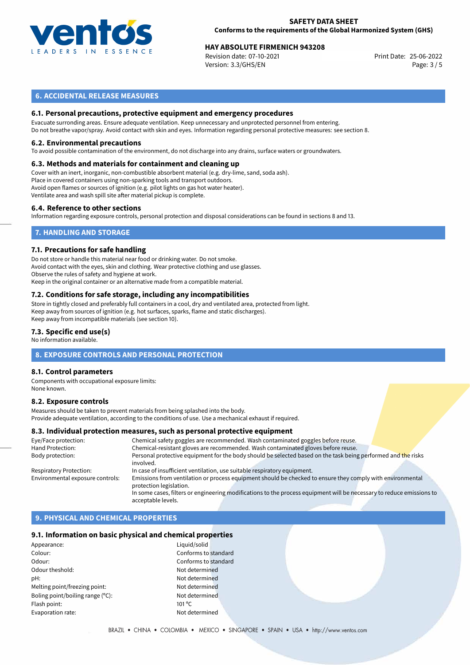

# **HAY ABSOLUTE FIRMENICH 943208**<br>
Revision date: 07-10-2021<br>
Print Date: 25-06-2022

Revision date: 07-10-2021 Version: 3.3/GHS/EN Page: 3 / 5

#### **6. ACCIDENTAL RELEASE MEASURES**

#### **6.1. Personal precautions, protective equipment and emergency procedures**

Evacuate surronding areas. Ensure adequate ventilation. Keep unnecessary and unprotected personnel from entering. Do not breathe vapor/spray. Avoid contact with skin and eyes. Information regarding personal protective measures: see section 8.

#### **6.2. Environmental precautions**

To avoid possible contamination of the environment, do not discharge into any drains, surface waters or groundwaters.

#### **6.3. Methods and materials for containment and cleaning up**

Cover with an inert, inorganic, non-combustible absorbent material (e.g. dry-lime, sand, soda ash). Place in covered containers using non-sparking tools and transport outdoors. Avoid open flames or sources of ignition (e.g. pilot lights on gas hot water heater). Ventilate area and wash spill site after material pickup is complete.

#### **6.4. Reference to other sections**

Information regarding exposure controls, personal protection and disposal considerations can be found in sections 8 and 13.

### **7. HANDLING AND STORAGE**

#### **7.1. Precautions for safe handling**

Do not store or handle this material near food or drinking water. Do not smoke. Avoid contact with the eyes, skin and clothing. Wear protective clothing and use glasses. Observe the rules of safety and hygiene at work. Keep in the original container or an alternative made from a compatible material.

# **7.2. Conditions for safe storage, including any incompatibilities**

Store in tightly closed and preferably full containers in a cool, dry and ventilated area, protected from light. Keep away from sources of ignition (e.g. hot surfaces, sparks, flame and static discharges). Keep away from incompatible materials (see section 10).

#### **7.3. Specific end use(s)**

No information available.

#### **8. EXPOSURE CONTROLS AND PERSONAL PROTECTION**

#### **8.1. Control parameters**

Components with occupational exposure limits: None known.

#### **8.2. Exposure controls**

Measures should be taken to prevent materials from being splashed into the body. Provide adequate ventilation, according to the conditions of use. Use a mechanical exhaust if required.

#### **8.3. Individual protection measures, such as personal protective equipment**

| Eye/Face protection:             | Chemical safety goggles are recommended. Wash contaminated goggles before reuse.                                                      |
|----------------------------------|---------------------------------------------------------------------------------------------------------------------------------------|
| Hand Protection:                 | Chemical-resistant gloves are recommended. Wash contaminated gloves before reuse.                                                     |
| Body protection:                 | Personal protective equipment for the body should be selected based on the task being performed and the risks<br>involved.            |
| <b>Respiratory Protection:</b>   | In case of insufficient ventilation, use suitable respiratory equipment.                                                              |
| Environmental exposure controls: | Emissions from ventilation or process equipment should be checked to ensure they comply with environmental<br>protection legislation. |
|                                  | In some cases, filters or engineering modifications to the process equipment will be necessary to reduce emissions to                 |
|                                  | acceptable levels.                                                                                                                    |

# **9. PHYSICAL AND CHEMICAL PROPERTIES**

#### **9.1. Information on basic physical and chemical properties**

| Appearance:                      | Liguio          |
|----------------------------------|-----------------|
| Colour:                          | Confo           |
| Odour:                           | Confo           |
| Odour theshold:                  | Not d           |
| pH:                              | Not d           |
| Melting point/freezing point:    | Not d           |
| Boling point/boiling range (°C): | Not d           |
| Flash point:                     | $101^{\circ}$ C |
| Evaporation rate:                | Not d           |
|                                  |                 |

Liquid/solid Conforms to standard Conforms to standard Not determined Not determined Not determined Not determined Not determined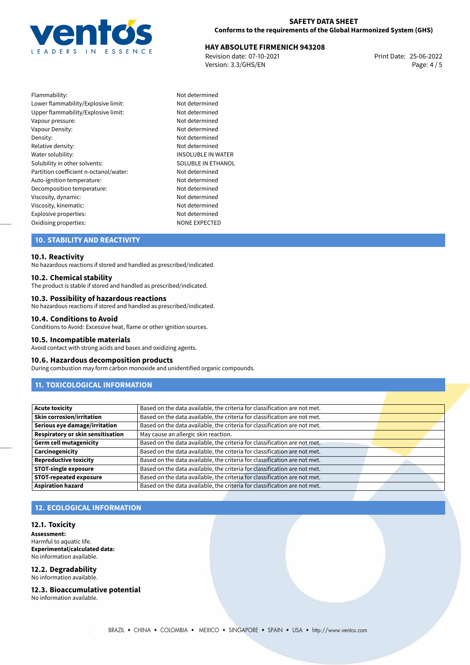

# **HAY ABSOLUTE FIRMENICH 943208**<br>
Revision date: 07-10-2021<br> **Print Date: 25-06-2022**

Revision date: 07-10-2021 Version: 3.3/GHS/EN Page: 4 / 5

| Flammability:                          | Not determined        |
|----------------------------------------|-----------------------|
| Lower flammability/Explosive limit:    | Not determined        |
| Upper flammability/Explosive limit:    | Not determined        |
| Vapour pressure:                       | Not determined        |
| Vapour Density:                        | Not determined        |
| Density:                               | Not determined        |
| Relative density:                      | Not determined        |
| Water solubility:                      | <b>INSOLUBLE IN W</b> |
| Solubility in other solvents:          | SOLUBLE IN ETH        |
| Partition coefficient n-octanol/water: | Not determined        |
| Auto-ignition temperature:             | Not determined        |
| Decomposition temperature:             | Not determined        |
| Viscosity, dynamic:                    | Not determined        |
| Viscosity, kinematic:                  | Not determined        |
| Explosive properties:                  | Not determined        |
| Oxidising properties:                  | <b>NONE EXPECTED</b>  |

Not determined Not determined Not determined Not determined Not determined Not determined Not determined **INSOLUBLE IN WATER** SOLUBLE IN ETHANOL Not determined Not determined Not determined Not determined Not determined Explosive properties: Not determined

### **10. STABILITY AND REACTIVITY**

#### **10.1. Reactivity**

No hazardous reactions if stored and handled as prescribed/indicated.

#### **10.2. Chemical stability**

The product is stable if stored and handled as prescribed/indicated.

#### **10.3. Possibility of hazardous reactions**

No hazardous reactions if stored and handled as prescribed/indicated.

#### **10.4. Conditions to Avoid**

Conditions to Avoid: Excessive heat, flame or other ignition sources.

#### **10.5. Incompatible materials**

Avoid contact with strong acids and bases and oxidizing agents.

#### **10.6. Hazardous decomposition products**

During combustion may form carbon monoxide and unidentified organic compounds.

### **11. TOXICOLOGICAL INFORMATION**

| <b>Acute toxicity</b>             | Based on the data available, the criteria for classification are not met. |  |
|-----------------------------------|---------------------------------------------------------------------------|--|
| <b>Skin corrosion/irritation</b>  | Based on the data available, the criteria for classification are not met. |  |
| Serious eye damage/irritation     | Based on the data available, the criteria for classification are not met. |  |
| Respiratory or skin sensitisation | May cause an allergic skin reaction.                                      |  |
| <b>Germ cell mutagenicity</b>     | Based on the data available, the criteria for classification are not met. |  |
| Carcinogenicity                   | Based on the data available, the criteria for classification are not met. |  |
| <b>Reproductive toxicity</b>      | Based on the data available, the criteria for classification are not met. |  |
| <b>STOT-single exposure</b>       | Based on the data available, the criteria for classification are not met. |  |
| <b>STOT-repeated exposure</b>     | Based on the data available, the criteria for classification are not met. |  |
| <b>Aspiration hazard</b>          | Based on the data available, the criteria for classification are not met. |  |

#### **12. ECOLOGICAL INFORMATION**

#### **12.1. Toxicity**

**Assessment:** Harmful to aquatic life. **Experimental/calculated data:** No information available.

#### **12.2. Degradability** No information available.

**12.3. Bioaccumulative potential**

No information available.